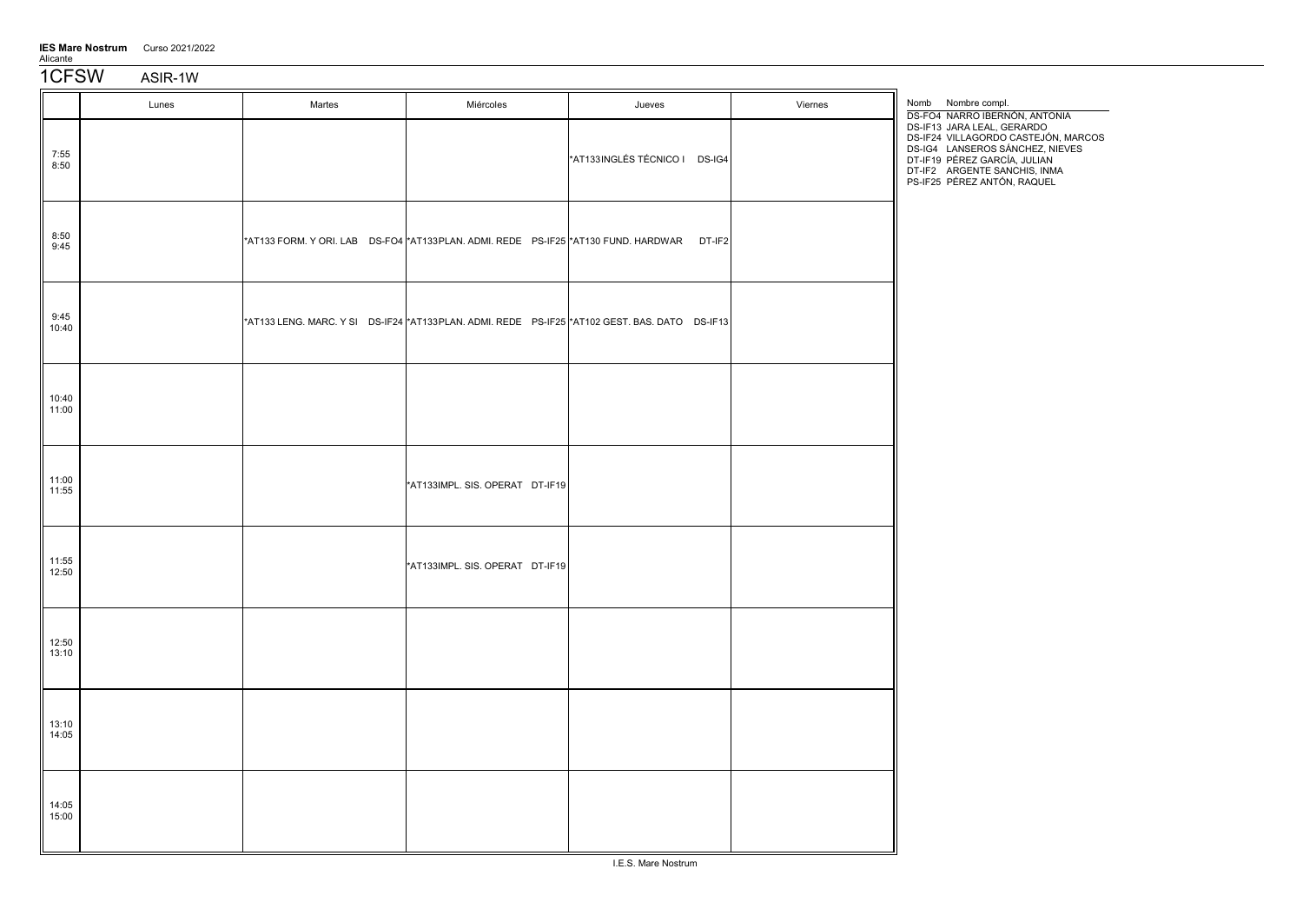IES Mare Nostrum Curso 2021/2022

Alicante

1CFSW ASIR-1W

|                | Lunes | Martes | Miércoles                       | Jueves                                                                                           | Viernes | Nomb Nombre compl.<br>DS-FO4 NARRO IBERNÓN, ANTONIA                                                                                                                                                 |
|----------------|-------|--------|---------------------------------|--------------------------------------------------------------------------------------------------|---------|-----------------------------------------------------------------------------------------------------------------------------------------------------------------------------------------------------|
| 7:55<br>8:50   |       |        |                                 | *AT133INGLÉS TÉCNICO I DS-IG4                                                                    |         | DS-IF13 JARA LEAL, GERARDO<br>DS-IF24 VILLAGORDO CASTEJÓN, MARCOS<br>DS-IG4 LANSEROS SÁNCHEZ, NIEVES<br>DT-IF19 PÉREZ GARCÍA, JULIAN<br>DT-IF2 ARGENTE SANCHIS, INMA<br>PS-IF25 PÉREZ ANTÓN, RAQUEL |
| 8:50<br>9:45   |       |        |                                 | *AT133 FORM. Y ORI. LAB DS-FO4 *AT133 PLAN. ADMI. REDE PS-IF25 *AT130 FUND. HARDWAR DT-IF2       |         |                                                                                                                                                                                                     |
| 9:45<br>10:40  |       |        |                                 | *AT133 LENG. MARC. Y SI DS-IF24  *AT133 PLAN. ADMI. REDE PS-IF25  *AT102 GEST. BAS. DATO DS-IF13 |         |                                                                                                                                                                                                     |
| 10:40<br>11:00 |       |        |                                 |                                                                                                  |         |                                                                                                                                                                                                     |
| 11:00<br>11:55 |       |        | *AT133IMPL. SIS. OPERAT DT-IF19 |                                                                                                  |         |                                                                                                                                                                                                     |
| 11:55<br>12:50 |       |        | *AT133IMPL. SIS. OPERAT DT-IF19 |                                                                                                  |         |                                                                                                                                                                                                     |
| 12:50<br>13:10 |       |        |                                 |                                                                                                  |         |                                                                                                                                                                                                     |
| 13:10<br>14:05 |       |        |                                 |                                                                                                  |         |                                                                                                                                                                                                     |
| 14:05<br>15:00 |       |        |                                 |                                                                                                  |         |                                                                                                                                                                                                     |